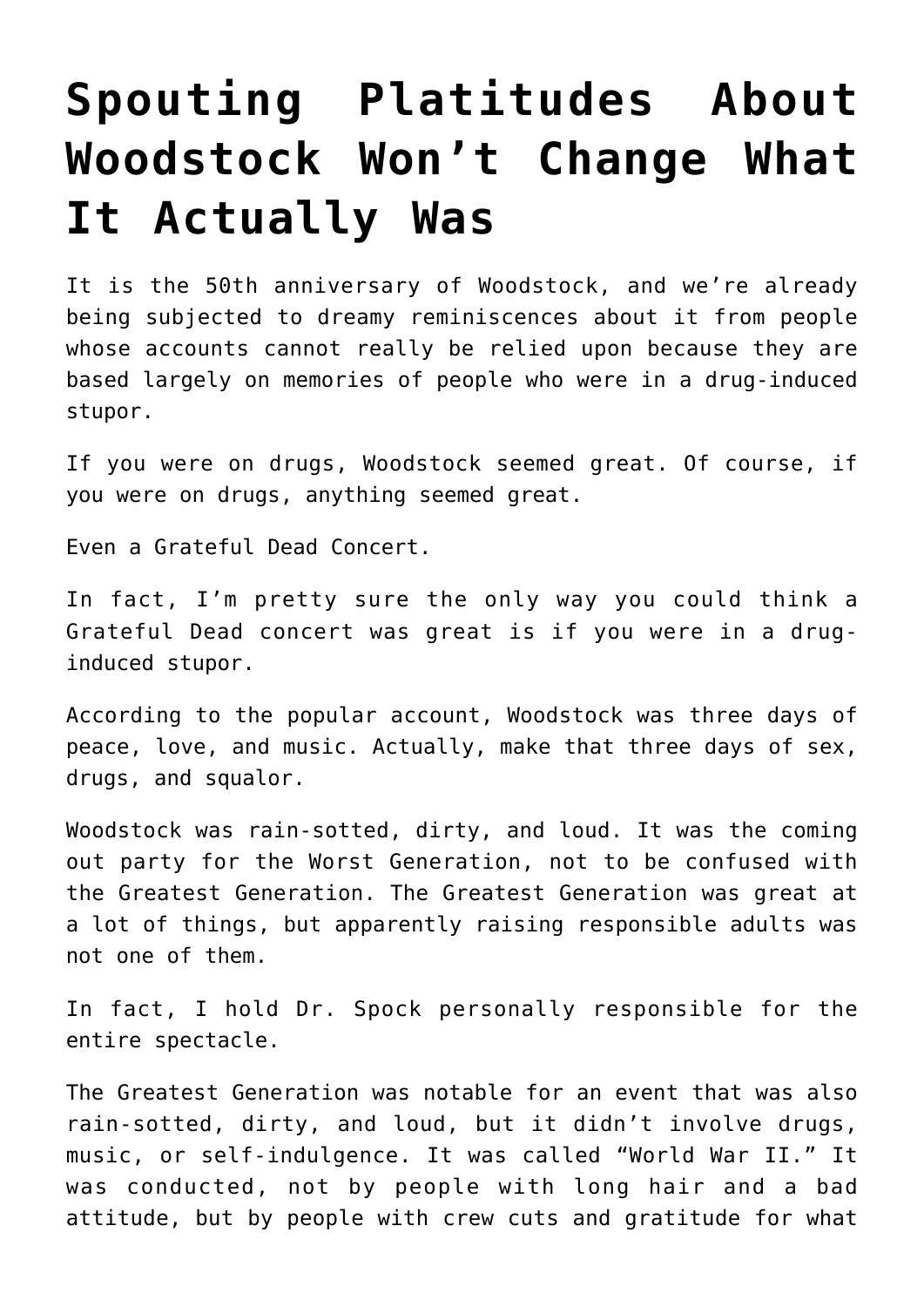## **[Spouting Platitudes About](https://intellectualtakeout.org/2019/08/spouting-platitudes-about-woodstock-wont-change-what-it-actually-was/) [Woodstock Won't Change What](https://intellectualtakeout.org/2019/08/spouting-platitudes-about-woodstock-wont-change-what-it-actually-was/) [It Actually Was](https://intellectualtakeout.org/2019/08/spouting-platitudes-about-woodstock-wont-change-what-it-actually-was/)**

It is the 50th anniversary of Woodstock, and we're already being subjected to dreamy reminiscences about it from people whose accounts cannot really be relied upon because they are based largely on memories of people who were in a drug-induced stupor.

If you were on drugs, Woodstock seemed great. Of course, if you were on drugs, anything seemed great.

Even a Grateful Dead Concert.

In fact, I'm pretty sure the only way you could think a Grateful Dead concert was great is if you were in a druginduced stupor.

According to the popular account, Woodstock was three days of peace, love, and music. Actually, make that three days of sex, drugs, and squalor.

Woodstock was rain-sotted, dirty, and loud. It was the coming out party for the Worst Generation, not to be confused with the Greatest Generation. The Greatest Generation was great at a lot of things, but apparently raising responsible adults was not one of them.

In fact, I hold Dr. Spock personally responsible for the entire spectacle.

The Greatest Generation was notable for an event that was also rain-sotted, dirty, and loud, but it didn't involve drugs, music, or self-indulgence. It was called "World War II." It was conducted, not by people with long hair and a bad attitude, but by people with crew cuts and gratitude for what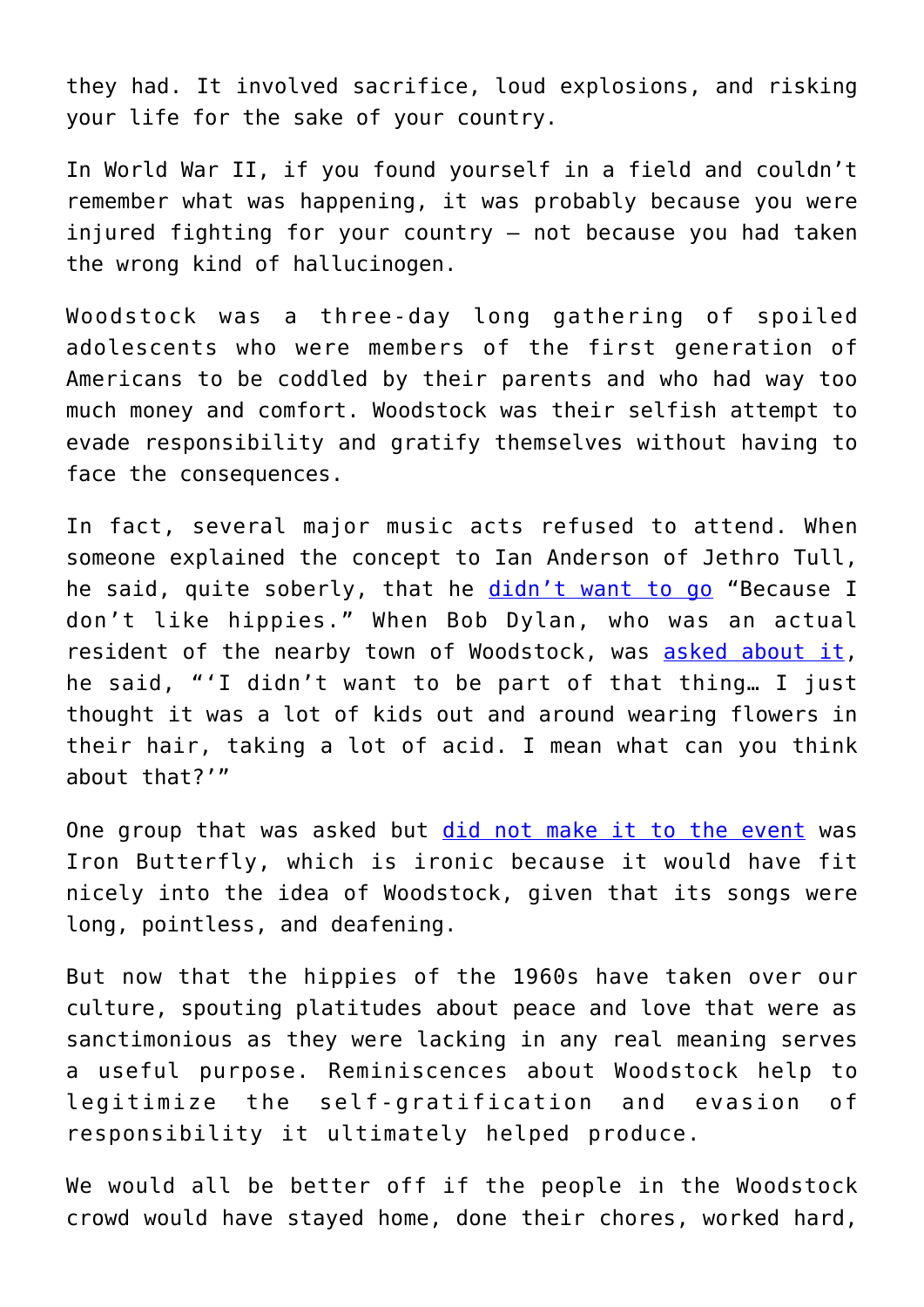they had. It involved sacrifice, loud explosions, and risking your life for the sake of your country.

In World War II, if you found yourself in a field and couldn't remember what was happening, it was probably because you were injured fighting for your country – not because you had taken the wrong kind of hallucinogen.

Woodstock was a three-day long gathering of spoiled adolescents who were members of the first generation of Americans to be coddled by their parents and who had way too much money and comfort. Woodstock was their selfish attempt to evade responsibility and gratify themselves without having to face the consequences.

In fact, several major music acts refused to attend. When someone explained the concept to Ian Anderson of Jethro Tull, he said, quite soberly, that he [didn't want to go](https://www.cbsnews.com/pictures/acts-that-almost-made-it-to-woodstock/2/) "Because I don't like hippies." When Bob Dylan, who was an actual resident of the nearby town of Woodstock, was [asked about it,](https://www.wsj.com/articles/the-ecstatic-chaos-of-woodstock-11564804861) he said, "'I didn't want to be part of that thing… I just thought it was a lot of kids out and around wearing flowers in their hair, taking a lot of acid. I mean what can you think about that?'"

One group that was asked but [did not make it to the event](https://www.deseret.com/2009/8/14/20334275/facts-behind-woodstock-myths#led-zeppelin) was Iron Butterfly, which is ironic because it would have fit nicely into the idea of Woodstock, given that its songs were long, pointless, and deafening.

But now that the hippies of the 1960s have taken over our culture, spouting platitudes about peace and love that were as sanctimonious as they were lacking in any real meaning serves a useful purpose. Reminiscences about Woodstock help to legitimize the self-gratification and evasion of responsibility it ultimately helped produce.

We would all be better off if the people in the Woodstock crowd would have stayed home, done their chores, worked hard,